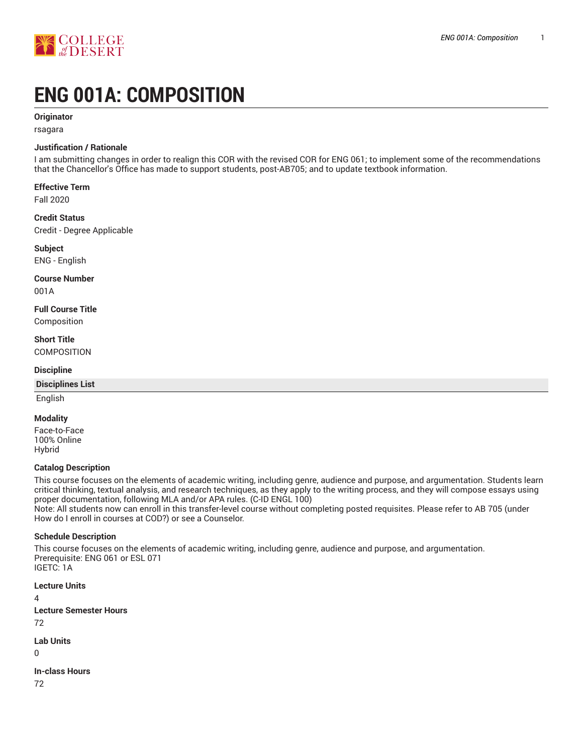

# **ENG 001A: COMPOSITION**

# **Originator**

rsagara

# **Justification / Rationale**

I am submitting changes in order to realign this COR with the revised COR for ENG 061; to implement some of the recommendations that the Chancellor's Office has made to support students, post-AB705; and to update textbook information.

# **Effective Term**

Fall 2020

#### **Credit Status**

Credit - Degree Applicable

# **Subject**

ENG - English

# **Course Number**

001A

# **Full Course Title**

Composition

# **Short Title**

**COMPOSITION** 

#### **Discipline**

#### **Disciplines List**

English

# **Modality**

Face-to-Face 100% Online Hybrid

#### **Catalog Description**

This course focuses on the elements of academic writing, including genre, audience and purpose, and argumentation. Students learn critical thinking, textual analysis, and research techniques, as they apply to the writing process, and they will compose essays using proper documentation, following MLA and/or APA rules. (C-ID ENGL 100)

Note: All students now can enroll in this transfer-level course without completing posted requisites. Please refer to AB 705 (under How do I enroll in courses at COD?) or see a Counselor.

# **Schedule Description**

This course focuses on the elements of academic writing, including genre, audience and purpose, and argumentation. Prerequisite: ENG 061 or ESL 071 IGETC: 1A

**Lecture Units** 4 **Lecture Semester Hours** 72 **Lab Units**  $\Omega$ 

**In-class Hours** 72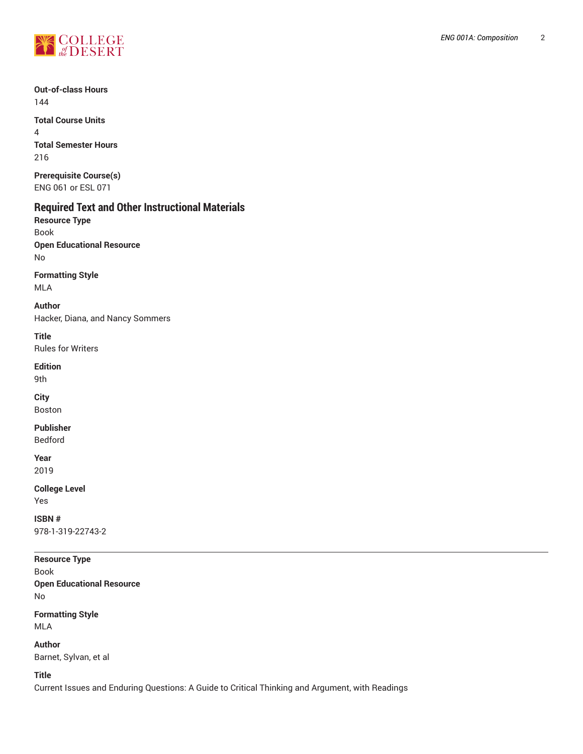

**Out-of-class Hours** 144

**Total Course Units** 4 **Total Semester Hours** 216

**Prerequisite Course(s)** ENG 061 or ESL 071

# **Required Text and Other Instructional Materials**

**Resource Type** Book **Open Educational Resource** No

**Formatting Style** MLA

**Author** Hacker, Diana, and Nancy Sommers

**Title** Rules for Writers

**Edition**

9th

**City** Boston

**Publisher**

Bedford

**Year** 2019

**College Level**

Yes **ISBN #** 978-1-319-22743-2

# **Resource Type**

Book **Open Educational Resource** No

**Formatting Style** MLA

**Author** Barnet, Sylvan, et al

**Title**

Current Issues and Enduring Questions: A Guide to Critical Thinking and Argument, with Readings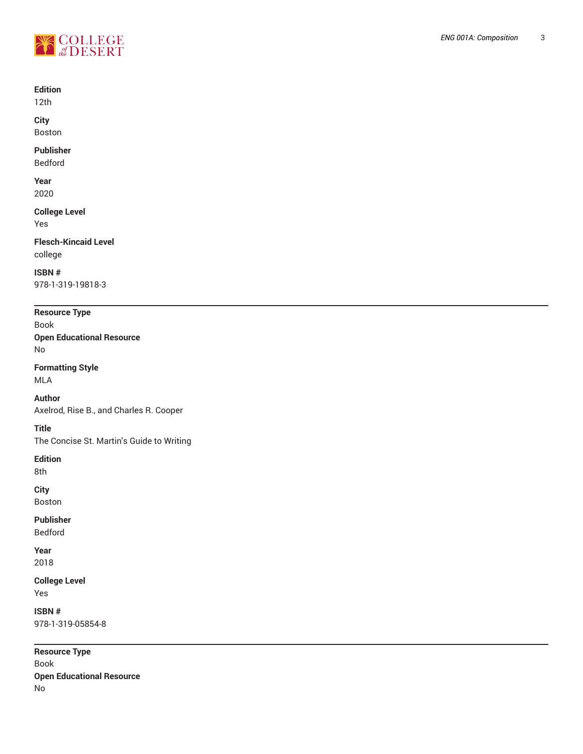

#### **Edition**

12th

**City** Boston

#### **Publisher**

Bedford

**Year** 2020

**College Level** Yes

**Flesch-Kincaid Level**

college

**ISBN #** 978-1-319-19818-3

**Resource Type**

Book **Open Educational Resource** No

**Formatting Style**

MLA

**Author**

Axelrod, Rise B., and Charles R. Cooper

**Title**

The Concise St. Martin's Guide to Writing

**Edition**

8th

**City**

Boston

**Publisher**

Bedford

**Year** 2018

**College Level** Yes

**ISBN #** 978-1-319-05854-8

**Resource Type** Book **Open Educational Resource** No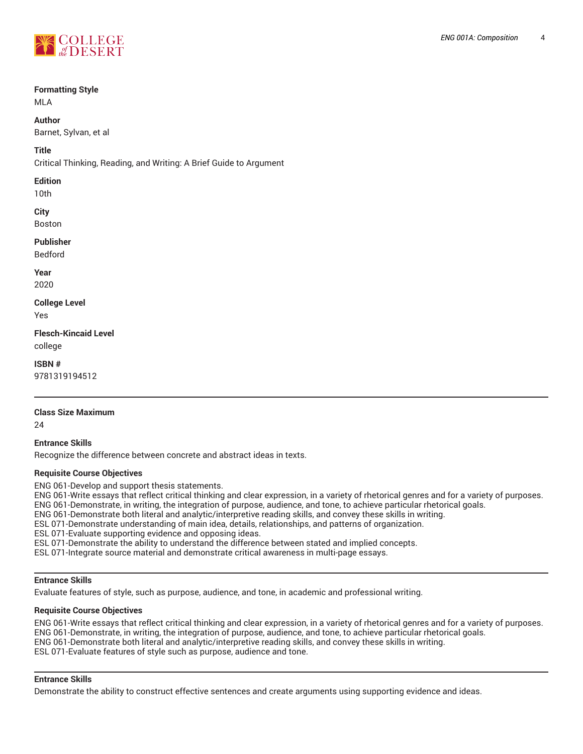

#### **Formatting Style**

MLA

# **Author**

Barnet, Sylvan, et al

# **Title**

Critical Thinking, Reading, and Writing: A Brief Guide to Argument

#### **Edition**

10th

#### **City** Boston

# **Publisher**

Bedford

**Year** 2020

# **College Level**

Yes

**Flesch-Kincaid Level** college

**ISBN #**

9781319194512

# **Class Size Maximum**

24

# **Entrance Skills**

Recognize the difference between concrete and abstract ideas in texts.

# **Requisite Course Objectives**

ENG 061-Develop and support thesis statements.

ENG 061-Write essays that reflect critical thinking and clear expression, in a variety of rhetorical genres and for a variety of purposes. ENG 061-Demonstrate, in writing, the integration of purpose, audience, and tone, to achieve particular rhetorical goals.

ENG 061-Demonstrate both literal and analytic/interpretive reading skills, and convey these skills in writing.

ESL 071-Demonstrate understanding of main idea, details, relationships, and patterns of organization.

ESL 071-Evaluate supporting evidence and opposing ideas.

ESL 071-Demonstrate the ability to understand the difference between stated and implied concepts.

ESL 071-Integrate source material and demonstrate critical awareness in multi-page essays.

# **Entrance Skills**

Evaluate features of style, such as purpose, audience, and tone, in academic and professional writing.

# **Requisite Course Objectives**

ENG 061-Write essays that reflect critical thinking and clear expression, in a variety of rhetorical genres and for a variety of purposes. ENG 061-Demonstrate, in writing, the integration of purpose, audience, and tone, to achieve particular rhetorical goals. ENG 061-Demonstrate both literal and analytic/interpretive reading skills, and convey these skills in writing. ESL 071-Evaluate features of style such as purpose, audience and tone.

# **Entrance Skills**

Demonstrate the ability to construct effective sentences and create arguments using supporting evidence and ideas.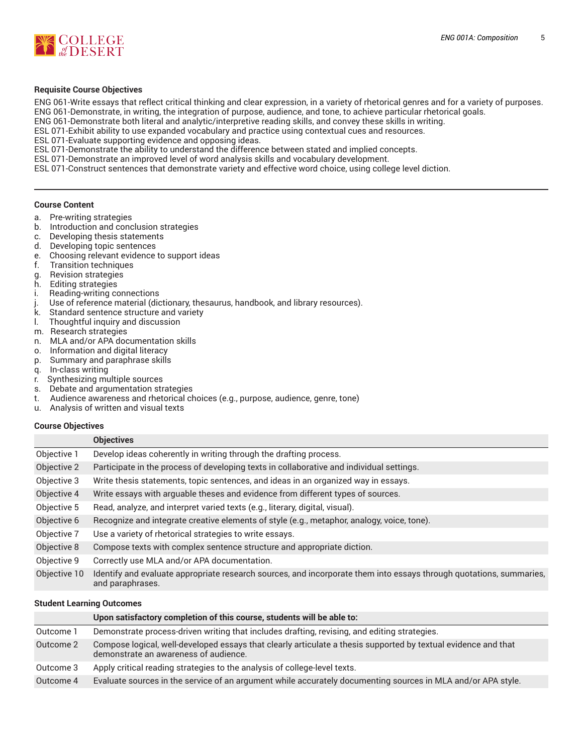

#### **Requisite Course Objectives**

ENG 061-Write essays that reflect critical thinking and clear expression, in a variety of rhetorical genres and for a variety of purposes. ENG 061-Demonstrate, in writing, the integration of purpose, audience, and tone, to achieve particular rhetorical goals.

ENG 061-Demonstrate both literal and analytic/interpretive reading skills, and convey these skills in writing.

ESL 071-Exhibit ability to use expanded vocabulary and practice using contextual cues and resources.

ESL 071-Evaluate supporting evidence and opposing ideas.

ESL 071-Demonstrate the ability to understand the difference between stated and implied concepts.

ESL 071-Demonstrate an improved level of word analysis skills and vocabulary development.

ESL 071-Construct sentences that demonstrate variety and effective word choice, using college level diction.

#### **Course Content**

- a. Pre-writing strategies
- b. Introduction and conclusion strategies
- c. Developing thesis statements
- d. Developing topic sentences
- e. Choosing relevant evidence to support ideas
- f. Transition techniques
- g. Revision strategies
- h. Editing strategies
- i. Reading-writing connections
- j. Use of reference material (dictionary, thesaurus, handbook, and library resources).
- Standard sentence structure and variety
- l. Thoughtful inquiry and discussion
- m. Research strategies
- n. MLA and/or APA documentation skills
- o. Information and digital literacy
- p. Summary and paraphrase skills
- q. In-class writing
- r. Synthesizing multiple sources
- s. Debate and argumentation strategies
- t. Audience awareness and rhetorical choices (e.g., purpose, audience, genre, tone)
- u. Analysis of written and visual texts

#### **Course Objectives**

|              | <b>Objectives</b>                                                                                                                       |
|--------------|-----------------------------------------------------------------------------------------------------------------------------------------|
| Objective 1  | Develop ideas coherently in writing through the drafting process.                                                                       |
| Objective 2  | Participate in the process of developing texts in collaborative and individual settings.                                                |
| Objective 3  | Write thesis statements, topic sentences, and ideas in an organized way in essays.                                                      |
| Objective 4  | Write essays with arguable theses and evidence from different types of sources.                                                         |
| Objective 5  | Read, analyze, and interpret varied texts (e.g., literary, digital, visual).                                                            |
| Objective 6  | Recognize and integrate creative elements of style (e.g., metaphor, analogy, voice, tone).                                              |
| Objective 7  | Use a variety of rhetorical strategies to write essays.                                                                                 |
| Objective 8  | Compose texts with complex sentence structure and appropriate diction.                                                                  |
| Objective 9  | Correctly use MLA and/or APA documentation.                                                                                             |
| Objective 10 | Identify and evaluate appropriate research sources, and incorporate them into essays through quotations, summaries,<br>and paraphrases. |

#### **Student Learning Outcomes**

|           | Upon satisfactory completion of this course, students will be able to:                                                                                  |
|-----------|---------------------------------------------------------------------------------------------------------------------------------------------------------|
| Outcome 1 | Demonstrate process-driven writing that includes drafting, revising, and editing strategies.                                                            |
| Outcome 2 | Compose logical, well-developed essays that clearly articulate a thesis supported by textual evidence and that<br>demonstrate an awareness of audience. |
| Outcome 3 | Apply critical reading strategies to the analysis of college-level texts.                                                                               |
| Outcome 4 | Evaluate sources in the service of an argument while accurately documenting sources in MLA and/or APA style.                                            |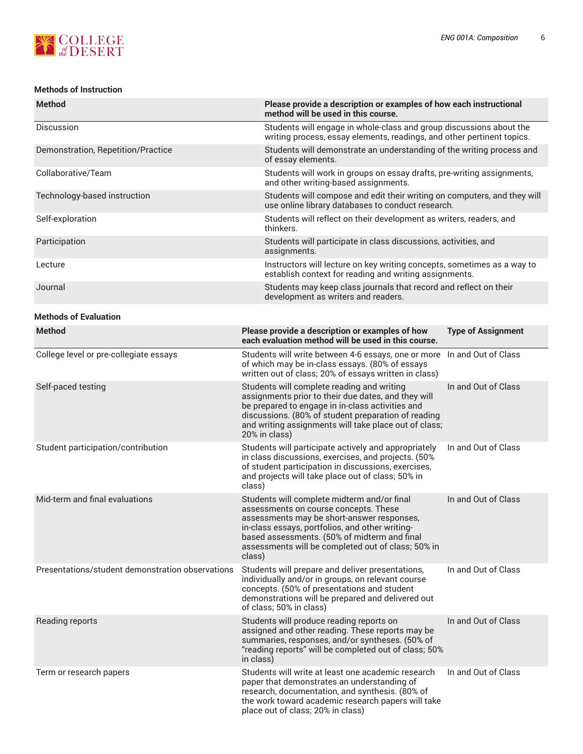

# **Methods of Instruction**

| <b>Method</b>                      | Please provide a description or examples of how each instructional<br>method will be used in this course.                                     |
|------------------------------------|-----------------------------------------------------------------------------------------------------------------------------------------------|
| <b>Discussion</b>                  | Students will engage in whole-class and group discussions about the<br>writing process, essay elements, readings, and other pertinent topics. |
| Demonstration, Repetition/Practice | Students will demonstrate an understanding of the writing process and<br>of essay elements.                                                   |
| Collaborative/Team                 | Students will work in groups on essay drafts, pre-writing assignments,<br>and other writing-based assignments.                                |
| Technology-based instruction       | Students will compose and edit their writing on computers, and they will<br>use online library databases to conduct research.                 |
| Self-exploration                   | Students will reflect on their development as writers, readers, and<br>thinkers.                                                              |
| Participation                      | Students will participate in class discussions, activities, and<br>assignments.                                                               |
| Lecture                            | Instructors will lecture on key writing concepts, sometimes as a way to<br>establish context for reading and writing assignments.             |
| Journal                            | Students may keep class journals that record and reflect on their<br>development as writers and readers.                                      |

# **Methods of Evaluation**

| <b>Method</b>                                    | Please provide a description or examples of how<br>each evaluation method will be used in this course.                                                                                                                                                                                                | <b>Type of Assignment</b> |
|--------------------------------------------------|-------------------------------------------------------------------------------------------------------------------------------------------------------------------------------------------------------------------------------------------------------------------------------------------------------|---------------------------|
| College level or pre-collegiate essays           | Students will write between 4-6 essays, one or more<br>of which may be in-class essays. (80% of essays<br>written out of class; 20% of essays written in class)                                                                                                                                       | In and Out of Class       |
| Self-paced testing                               | Students will complete reading and writing<br>assignments prior to their due dates, and they will<br>be prepared to engage in in-class activities and<br>discussions. (80% of student preparation of reading<br>and writing assignments will take place out of class;<br>20% in class)                | In and Out of Class       |
| Student participation/contribution               | Students will participate actively and appropriately<br>in class discussions, exercises, and projects. (50%<br>of student participation in discussions, exercises,<br>and projects will take place out of class; 50% in<br>class)                                                                     | In and Out of Class       |
| Mid-term and final evaluations                   | Students will complete midterm and/or final<br>assessments on course concepts. These<br>assessments may be short-answer responses,<br>in-class essays, portfolios, and other writing-<br>based assessments. (50% of midterm and final<br>assessments will be completed out of class; 50% in<br>class) | In and Out of Class       |
| Presentations/student demonstration observations | Students will prepare and deliver presentations,<br>individually and/or in groups, on relevant course<br>concepts. (50% of presentations and student<br>demonstrations will be prepared and delivered out<br>of class; 50% in class)                                                                  | In and Out of Class       |
| Reading reports                                  | Students will produce reading reports on<br>assigned and other reading. These reports may be<br>summaries, responses, and/or syntheses. (50% of<br>"reading reports" will be completed out of class; 50%<br>in class)                                                                                 | In and Out of Class       |
| Term or research papers                          | Students will write at least one academic research<br>paper that demonstrates an understanding of<br>research, documentation, and synthesis. (80% of<br>the work toward academic research papers will take<br>place out of class; 20% in class)                                                       | In and Out of Class       |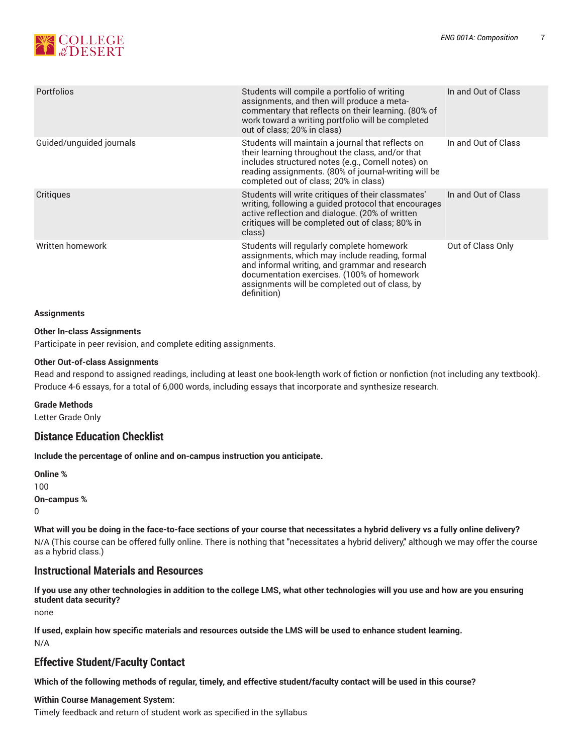

| <b>Portfolios</b>        | Students will compile a portfolio of writing<br>assignments, and then will produce a meta-<br>commentary that reflects on their learning. (80% of<br>work toward a writing portfolio will be completed<br>out of class; 20% in class)                        | In and Out of Class |
|--------------------------|--------------------------------------------------------------------------------------------------------------------------------------------------------------------------------------------------------------------------------------------------------------|---------------------|
| Guided/unguided journals | Students will maintain a journal that reflects on<br>their learning throughout the class, and/or that<br>includes structured notes (e.g., Cornell notes) on<br>reading assignments. (80% of journal-writing will be<br>completed out of class; 20% in class) | In and Out of Class |
| Critiques                | Students will write critiques of their classmates'<br>writing, following a guided protocol that encourages<br>active reflection and dialogue. (20% of written<br>critiques will be completed out of class; 80% in<br>class)                                  | In and Out of Class |
| Written homework         | Students will regularly complete homework<br>assignments, which may include reading, formal<br>and informal writing, and grammar and research<br>documentation exercises. (100% of homework<br>assignments will be completed out of class, by<br>definition) | Out of Class Only   |

#### **Assignments**

#### **Other In-class Assignments**

Participate in peer revision, and complete editing assignments.

#### **Other Out-of-class Assignments**

Read and respond to assigned readings, including at least one book-length work of fiction or nonfiction (not including any textbook). Produce 4-6 essays, for a total of 6,000 words, including essays that incorporate and synthesize research.

#### **Grade Methods**

Letter Grade Only

# **Distance Education Checklist**

**Include the percentage of online and on-campus instruction you anticipate.**

**Online %** 100 **On-campus %** 0

What will you be doing in the face-to-face sections of your course that necessitates a hybrid delivery vs a fully online delivery? N/A (This course can be offered fully online. There is nothing that "necessitates a hybrid delivery," although we may offer the course as a hybrid class.)

# **Instructional Materials and Resources**

If you use any other technologies in addition to the college LMS, what other technologies will you use and how are you ensuring **student data security?**

none

**If used, explain how specific materials and resources outside the LMS will be used to enhance student learning.** N/A

# **Effective Student/Faculty Contact**

Which of the following methods of regular, timely, and effective student/faculty contact will be used in this course?

# **Within Course Management System:**

Timely feedback and return of student work as specified in the syllabus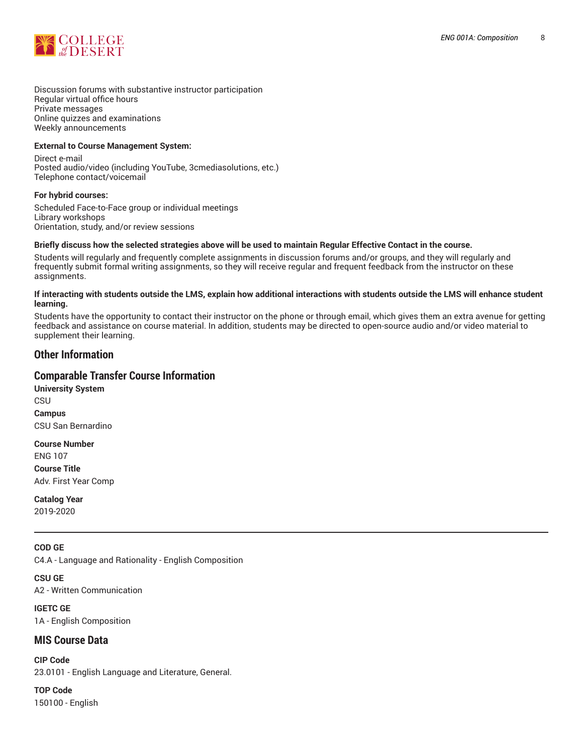

Discussion forums with substantive instructor participation Regular virtual office hours Private messages Online quizzes and examinations Weekly announcements

#### **External to Course Management System:**

Direct e-mail Posted audio/video (including YouTube, 3cmediasolutions, etc.) Telephone contact/voicemail

#### **For hybrid courses:**

Scheduled Face-to-Face group or individual meetings Library workshops Orientation, study, and/or review sessions

#### Briefly discuss how the selected strategies above will be used to maintain Regular Effective Contact in the course.

Students will regularly and frequently complete assignments in discussion forums and/or groups, and they will regularly and frequently submit formal writing assignments, so they will receive regular and frequent feedback from the instructor on these assignments.

#### **If interacting with students outside the LMS, explain how additional interactions with students outside the LMS will enhance student learning.**

Students have the opportunity to contact their instructor on the phone or through email, which gives them an extra avenue for getting feedback and assistance on course material. In addition, students may be directed to open-source audio and/or video material to supplement their learning.

# **Other Information**

# **Comparable Transfer Course Information**

**University System CSU Campus** CSU San Bernardino

**Course Number** ENG 107 **Course Title** Adv. First Year Comp

**Catalog Year** 2019-2020

# **COD GE**

C4.A - Language and Rationality - English Composition

**CSU GE** A2 - Written Communication

**IGETC GE** 1A - English Composition

# **MIS Course Data**

**CIP Code** 23.0101 - English Language and Literature, General.

**TOP Code** 150100 - English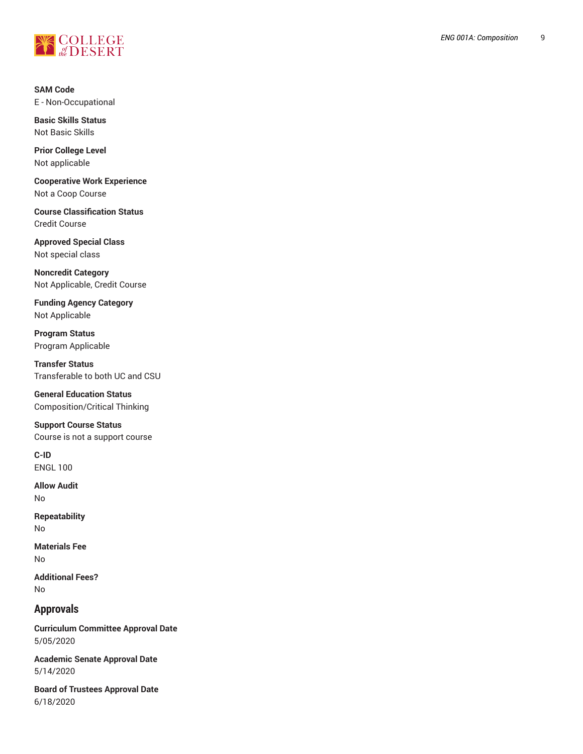

**SAM Code** E - Non-Occupational

**Basic Skills Status** Not Basic Skills

**Prior College Level** Not applicable

**Cooperative Work Experience** Not a Coop Course

**Course Classification Status** Credit Course

**Approved Special Class** Not special class

**Noncredit Catego r y** Not Applicable, Credit Course ,

Funding Agency Category Not Applicable

**Program Status** Program Applica ble

**T r a n s f e r S t a t u s** Transferable to both UC and CSU

General Education Status Composition/Critical Thinking

**Support Course Status** Course is not a support course

**C-ID** ENGL 100

**Allow Audit** No

**Repeatability** No

**Materials Fee** No

**Ad d i t i o n a l F e e s ?** No

# **Approvals**

Curriculum Committee Approval Date 5/05/2020

**Academic Senate Approval Date** 5/14/2020

Board of Trustees Approval Date 6/18/2020